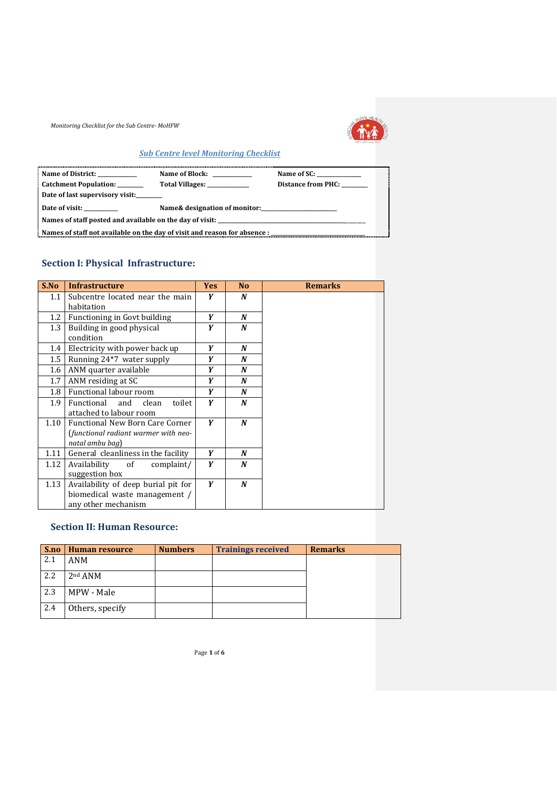

### *Sub Centre level Monitoring Checklist*

| Name of District:                                                         | Name of Block:                | Name of SC: _____________ |  |  |  |  |
|---------------------------------------------------------------------------|-------------------------------|---------------------------|--|--|--|--|
| Catchment Population: _______                                             | Total Villages: ____________  | Distance from PHC:        |  |  |  |  |
| Date of last supervisory visit:                                           |                               |                           |  |  |  |  |
| Date of visit:                                                            | Name& designation of monitor: |                           |  |  |  |  |
|                                                                           |                               |                           |  |  |  |  |
| Names of staff not available on the day of visit and reason for absence : |                               |                           |  |  |  |  |

## **Section I: Physical Infrastructure:**

| S.No | <b>Infrastructure</b>                  | <b>Yes</b> | N <sub>o</sub> | <b>Remarks</b> |
|------|----------------------------------------|------------|----------------|----------------|
| 1.1  | Subcentre located near the main        | Y          | N              |                |
|      | habitation                             |            |                |                |
| 1.2  | Functioning in Govt building           | Y          | N              |                |
| 1.3  | Building in good physical              | Y          | N              |                |
|      | condition                              |            |                |                |
| 1.4  | Electricity with power back up         | Y          | N              |                |
| 1.5  | Running 24*7 water supply              | Y          | N              |                |
| 1.6  | ANM quarter available                  | Y          | N              |                |
| 1.7  | ANM residing at SC                     | Y          | N              |                |
| 1.8  | Functional labour room                 | Y          | N              |                |
| 1.9  | Functional<br>and<br>clean<br>toilet   | Y          | N              |                |
|      | attached to labour room                |            |                |                |
| 1.10 | <b>Functional New Born Care Corner</b> | Y          | N              |                |
|      | (functional radiant warmer with neo-   |            |                |                |
|      | natal ambu bag)                        |            |                |                |
| 1.11 | General cleanliness in the facility    | Y          | N              |                |
| 1.12 | Availability<br>of<br>complaint/       | Y          | N              |                |
|      | suggestion box                         |            |                |                |
| 1.13 | Availability of deep burial pit for    | Y          | N              |                |
|      | biomedical waste management /          |            |                |                |
|      | any other mechanism                    |            |                |                |

### **Section II: Human Resource:**

| S.no | Human resource  | <b>Numbers</b> | <b>Trainings received</b> | <b>Remarks</b> |
|------|-----------------|----------------|---------------------------|----------------|
| 2.1  | ANM             |                |                           |                |
| 2.2  | $2nd$ ANM       |                |                           |                |
| 2.3  | MPW - Male      |                |                           |                |
| 2.4  | Others, specify |                |                           |                |

Page **1** of **6**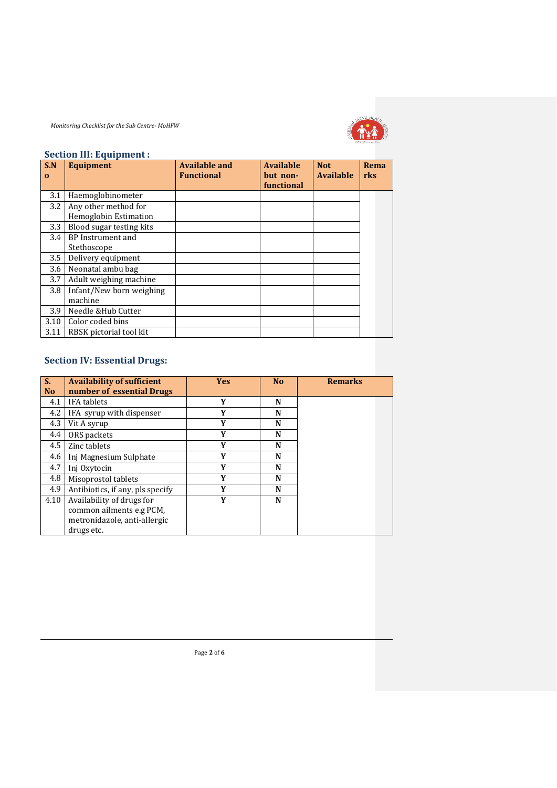

#### **Section III: Equipment :**

| S.N      | <b>Equipment</b>         | <b>Available and</b> | <b>Available</b>       | <b>Not</b>       | <b>Rema</b> |
|----------|--------------------------|----------------------|------------------------|------------------|-------------|
| $\Omega$ |                          | <b>Functional</b>    | but non-<br>functional | <b>Available</b> | rks         |
| 3.1      | Haemoglobinometer        |                      |                        |                  |             |
| 3.2      | Any other method for     |                      |                        |                  |             |
|          | Hemoglobin Estimation    |                      |                        |                  |             |
| 3.3      | Blood sugar testing kits |                      |                        |                  |             |
| 3.4      | BP Instrument and        |                      |                        |                  |             |
|          | Stethoscope              |                      |                        |                  |             |
| 3.5      | Delivery equipment       |                      |                        |                  |             |
| 3.6      | Neonatal ambu bag        |                      |                        |                  |             |
| 3.7      | Adult weighing machine   |                      |                        |                  |             |
| 3.8      | Infant/New born weighing |                      |                        |                  |             |
|          | machine                  |                      |                        |                  |             |
| 3.9      | Needle & Hub Cutter      |                      |                        |                  |             |
| 3.10     | Color coded bins         |                      |                        |                  |             |
| 3.11     | RBSK pictorial tool kit  |                      |                        |                  |             |

## **Section IV: Essential Drugs:**

| S.        | <b>Availability of sufficient</b> | <b>Yes</b> | <b>No</b> | <b>Remarks</b> |
|-----------|-----------------------------------|------------|-----------|----------------|
| <b>No</b> | number of essential Drugs         |            |           |                |
| 4.1       | <b>IFA</b> tablets                | Y          | N         |                |
| 4.2       | IFA syrup with dispenser          | Y          | N         |                |
| 4.3       | Vit A syrup                       | Y          | N         |                |
| 4.4       | ORS packets                       | Y          | N         |                |
| 4.5       | Zinc tablets                      | Y          | N         |                |
| 4.6       | Inj Magnesium Sulphate            | Y          | N         |                |
| 4.7       | Inj Oxytocin                      | Y          | N         |                |
| 4.8       | Misoprostol tablets               | Y          | N         |                |
| 4.9       | Antibiotics, if any, pls specify  | Y          | N         |                |
| 4.10      | Availability of drugs for         | Y          | N         |                |
|           | common ailments e.g PCM,          |            |           |                |
|           | metronidazole, anti-allergic      |            |           |                |
|           | drugs etc.                        |            |           |                |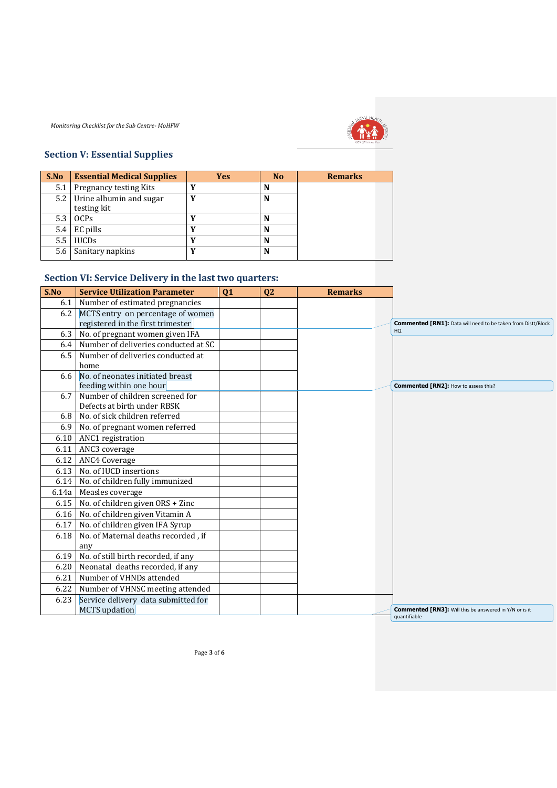

# **Section V: Essential Supplies**

| S.No | <b>Essential Medical Supplies</b> | <b>Yes</b> | N <sub>o</sub> | <b>Remarks</b> |
|------|-----------------------------------|------------|----------------|----------------|
| 5.1  | <b>Pregnancy testing Kits</b>     | v          | N              |                |
| 5.2  | Urine albumin and sugar           | v          | N              |                |
|      | testing kit                       |            |                |                |
| 5.3  | <b>OCPs</b>                       |            | N              |                |
| 5.4  | EC pills                          | v          | N              |                |
| 5.5  | <b>IUCDs</b>                      | v          | N              |                |
| 5.6  | Sanitary napkins                  |            | N              |                |

## **Section VI: Service Delivery in the last two quarters:**

| S.No  | <b>Service Utilization Parameter</b>                                   | Q1 | Q2 | <b>Remarks</b> |                                                                               |
|-------|------------------------------------------------------------------------|----|----|----------------|-------------------------------------------------------------------------------|
| 6.1   | Number of estimated pregnancies                                        |    |    |                |                                                                               |
| 6.2   | MCTS entry on percentage of women<br>registered in the first trimester |    |    |                | <b>Commented [RN1]:</b> Data will need to be taken from Distt/Block           |
| 6.3   | No. of pregnant women given IFA                                        |    |    |                | HQ                                                                            |
| 6.4   | Number of deliveries conducted at SC                                   |    |    |                |                                                                               |
| 6.5   | Number of deliveries conducted at<br>home                              |    |    |                |                                                                               |
| 6.6   | No. of neonates initiated breast<br>feeding within one hour            |    |    |                | Commented [RN2]: How to assess this?                                          |
| 6.7   | Number of children screened for<br>Defects at birth under RBSK         |    |    |                |                                                                               |
| 6.8   | No. of sick children referred                                          |    |    |                |                                                                               |
| 6.9   | No. of pregnant women referred                                         |    |    |                |                                                                               |
| 6.10  | ANC1 registration                                                      |    |    |                |                                                                               |
| 6.11  | ANC3 coverage                                                          |    |    |                |                                                                               |
| 6.12  | <b>ANC4 Coverage</b>                                                   |    |    |                |                                                                               |
| 6.13  | No. of IUCD insertions                                                 |    |    |                |                                                                               |
| 6.14  | No. of children fully immunized                                        |    |    |                |                                                                               |
| 6.14a | Measles coverage                                                       |    |    |                |                                                                               |
| 6.15  | No. of children given ORS + Zinc                                       |    |    |                |                                                                               |
| 6.16  | No. of children given Vitamin A                                        |    |    |                |                                                                               |
| 6.17  | No. of children given IFA Syrup                                        |    |    |                |                                                                               |
| 6.18  | No. of Maternal deaths recorded, if                                    |    |    |                |                                                                               |
|       | any                                                                    |    |    |                |                                                                               |
| 6.19  | No. of still birth recorded, if any                                    |    |    |                |                                                                               |
| 6.20  | Neonatal deaths recorded, if any                                       |    |    |                |                                                                               |
| 6.21  | Number of VHNDs attended                                               |    |    |                |                                                                               |
| 6.22  | Number of VHNSC meeting attended                                       |    |    |                |                                                                               |
| 6.23  | Service delivery data submitted for                                    |    |    |                |                                                                               |
|       | <b>MCTS</b> updation                                                   |    |    |                | <b>Commented [RN3]:</b> Will this be answered in Y/N or is it<br>quantifiable |

Page **3** of **6**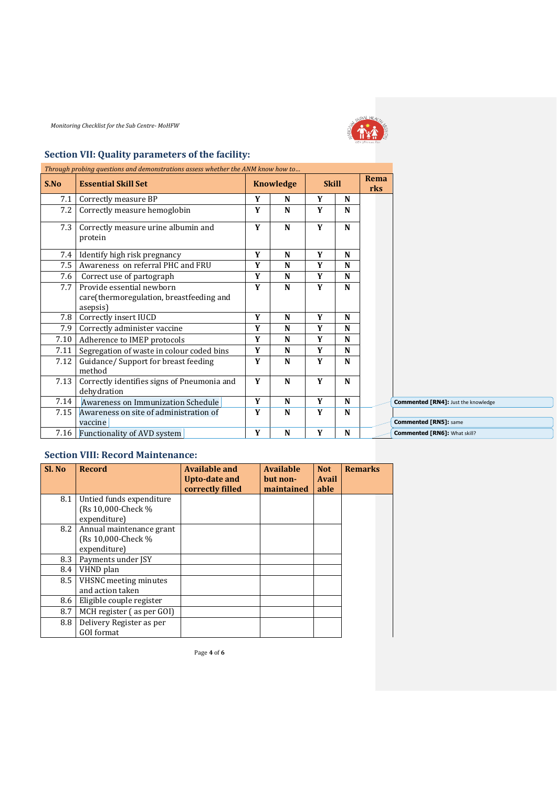

# **Section VII: Quality parameters of the facility:**

|      | Through probing questions and demonstrations assess whether the ANM know how to |   |                  |              |   |  |                                            |  |  |             |  |
|------|---------------------------------------------------------------------------------|---|------------------|--------------|---|--|--------------------------------------------|--|--|-------------|--|
| S.No | <b>Essential Skill Set</b>                                                      |   | <b>Knowledge</b> | <b>Skill</b> |   |  |                                            |  |  | Rema<br>rks |  |
| 7.1  | Correctly measure BP                                                            | Y | N                | Y            | N |  |                                            |  |  |             |  |
| 7.2  | Correctly measure hemoglobin                                                    | Y | N                | Y            | N |  |                                            |  |  |             |  |
| 7.3  | Correctly measure urine albumin and<br>protein                                  | Y | N                | Y            | N |  |                                            |  |  |             |  |
| 7.4  | Identify high risk pregnancy                                                    | Y | N                | Y            | N |  |                                            |  |  |             |  |
| 7.5  | Awareness on referral PHC and FRU                                               | Y | N                | Y            | N |  |                                            |  |  |             |  |
| 7.6  | Correct use of partograph                                                       | Y | N                | Y            | N |  |                                            |  |  |             |  |
| 7.7  | Provide essential newborn                                                       | Y | $\mathbf N$      | Y            | N |  |                                            |  |  |             |  |
|      | care(thermoregulation, breastfeeding and<br>asepsis)                            |   |                  |              |   |  |                                            |  |  |             |  |
| 7.8  | Correctly insert IUCD                                                           | Y | $\mathbf N$      | Y            | N |  |                                            |  |  |             |  |
| 7.9  | Correctly administer vaccine                                                    | Y | N                | Y            | N |  |                                            |  |  |             |  |
| 7.10 | Adherence to IMEP protocols                                                     | Y | N                | Y            | N |  |                                            |  |  |             |  |
| 7.11 | Segregation of waste in colour coded bins                                       | Y | N                | Y            | N |  |                                            |  |  |             |  |
| 7.12 | Guidance/ Support for breast feeding<br>method                                  | Y | $\mathbf N$      | Y            | N |  |                                            |  |  |             |  |
| 7.13 | Correctly identifies signs of Pneumonia and<br>dehydration                      | Y | N                | Y            | N |  |                                            |  |  |             |  |
| 7.14 | Awareness on Immunization Schedule                                              | Y | $\mathbf N$      | Y            | N |  | <b>Commented [RN4]: Just the knowledge</b> |  |  |             |  |
| 7.15 | Awareness on site of administration of                                          | Y | N                | Y            | N |  |                                            |  |  |             |  |
|      | vaccine                                                                         |   |                  |              |   |  | <b>Commented [RN5]: same</b>               |  |  |             |  |
| 7.16 | Functionality of AVD system                                                     | Y | N                | Y            | N |  | <b>Commented [RN6]: What skill?</b>        |  |  |             |  |

#### **Section VIII: Record Maintenance:**

| Sl. No | <b>Record</b>                                                   | <b>Available and</b><br>Upto-date and<br>correctly filled | <b>Available</b><br>but non-<br>maintained | <b>Not</b><br>Avail<br>able | <b>Remarks</b> |
|--------|-----------------------------------------------------------------|-----------------------------------------------------------|--------------------------------------------|-----------------------------|----------------|
| 8.1    | Untied funds expenditure<br>(Rs 10,000-Check %)<br>expenditure) |                                                           |                                            |                             |                |
| 8.2    | Annual maintenance grant<br>(Rs 10,000-Check %)<br>expenditure) |                                                           |                                            |                             |                |
| 8.3    | Payments under JSY                                              |                                                           |                                            |                             |                |
| 8.4    | VHND plan                                                       |                                                           |                                            |                             |                |
| 8.5    | VHSNC meeting minutes<br>and action taken                       |                                                           |                                            |                             |                |
| 8.6    | Eligible couple register                                        |                                                           |                                            |                             |                |
| 8.7    | MCH register (as per GOI)                                       |                                                           |                                            |                             |                |
| 8.8    | Delivery Register as per<br><b>GOI</b> format                   |                                                           |                                            |                             |                |

Page **4** of **6**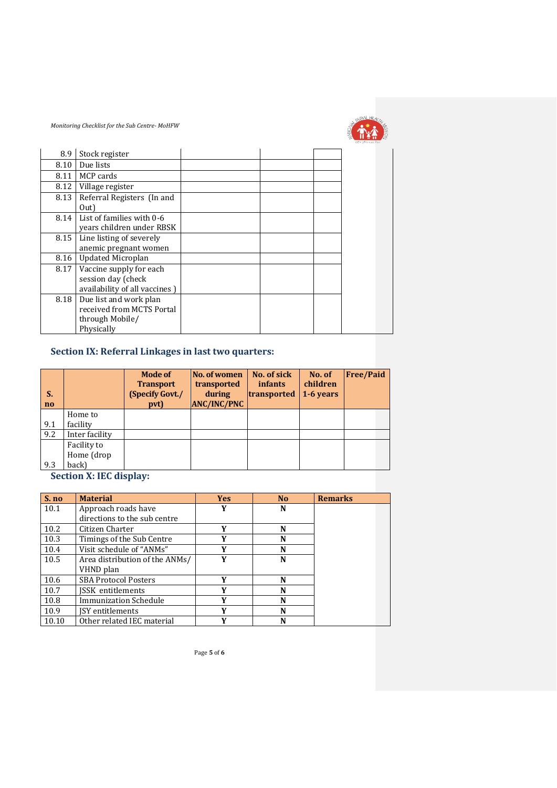

|      |                               |  | sha mën savo fim |
|------|-------------------------------|--|------------------|
| 8.9  | Stock register                |  |                  |
| 8.10 | Due lists                     |  |                  |
| 8.11 | MCP cards                     |  |                  |
| 8.12 | Village register              |  |                  |
| 8.13 | Referral Registers (In and    |  |                  |
|      | Out)                          |  |                  |
| 8.14 | List of families with 0-6     |  |                  |
|      | years children under RBSK     |  |                  |
| 8.15 | Line listing of severely      |  |                  |
|      | anemic pregnant women         |  |                  |
| 8.16 | <b>Updated Microplan</b>      |  |                  |
| 8.17 | Vaccine supply for each       |  |                  |
|      | session day (check            |  |                  |
|      | availability of all vaccines) |  |                  |
| 8.18 | Due list and work plan        |  |                  |
|      | received from MCTS Portal     |  |                  |
|      | through Mobile/               |  |                  |
|      | Physically                    |  |                  |

## **Section IX: Referral Linkages in last two quarters:**

| S.<br>no |                | <b>Mode of</b><br><b>Transport</b><br>(Specify Govt./<br>pvt) | No. of women<br>transported<br>during<br><b>ANC/INC/PNC</b> | No. of sick<br><i>infants</i><br>transported | No. of<br>children<br>1-6 years | <b>Free/Paid</b> |
|----------|----------------|---------------------------------------------------------------|-------------------------------------------------------------|----------------------------------------------|---------------------------------|------------------|
|          | Home to        |                                                               |                                                             |                                              |                                 |                  |
| 9.1      | facility       |                                                               |                                                             |                                              |                                 |                  |
| 9.2      | Inter facility |                                                               |                                                             |                                              |                                 |                  |
|          | Facility to    |                                                               |                                                             |                                              |                                 |                  |
|          | Home (drop     |                                                               |                                                             |                                              |                                 |                  |
| 9.3      | back)          |                                                               |                                                             |                                              |                                 |                  |

**Section X: IEC display:** 

| S. no | <b>Material</b>                | <b>Yes</b>   | N <sub>0</sub> | <b>Remarks</b> |
|-------|--------------------------------|--------------|----------------|----------------|
| 10.1  | Approach roads have            |              | N              |                |
|       | directions to the sub centre   |              |                |                |
| 10.2  | Citizen Charter                | Y            | N              |                |
| 10.3  | Timings of the Sub Centre      | Y            | N              |                |
| 10.4  | Visit schedule of "ANMs"       | Y            | N              |                |
| 10.5  | Area distribution of the ANMs/ | V            | N              |                |
|       | VHND plan                      |              |                |                |
| 10.6  | <b>SBA Protocol Posters</b>    | $\mathbf{v}$ | N              |                |
| 10.7  | ISSK entitlements              | v            | N              |                |
| 10.8  | Immunization Schedule          | v            | N              |                |
| 10.9  | ISY entitlements               | v            | N              |                |
| 10.10 | Other related IEC material     | v            | N              |                |

Page **5** of **6**